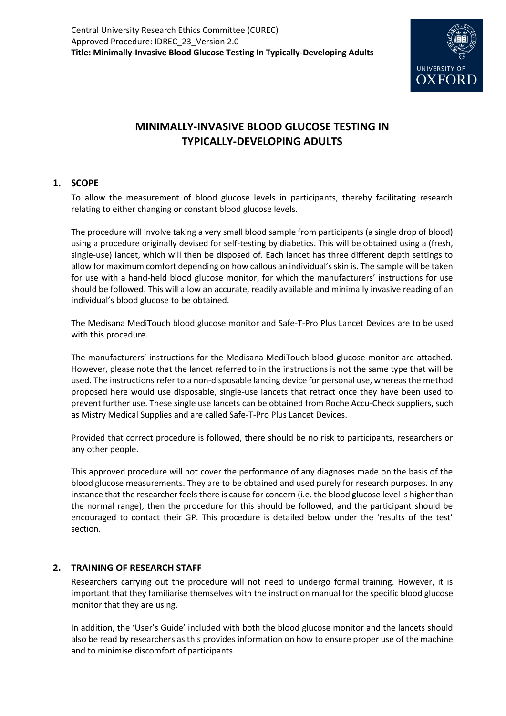

# **MINIMALLY-INVASIVE BLOOD GLUCOSE TESTING IN TYPICALLY-DEVELOPING ADULTS**

## **1. SCOPE**

To allow the measurement of blood glucose levels in participants, thereby facilitating research relating to either changing or constant blood glucose levels.

The procedure will involve taking a very small blood sample from participants (a single drop of blood) using a procedure originally devised for self-testing by diabetics. This will be obtained using a (fresh, single-use) lancet, which will then be disposed of. Each lancet has three different depth settings to allow for maximum comfort depending on how callous an individual's skin is. The sample will be taken for use with a hand-held blood glucose monitor, for which the manufacturers' instructions for use should be followed. This will allow an accurate, readily available and minimally invasive reading of an individual's blood glucose to be obtained.

The Medisana MediTouch blood glucose monitor and Safe-T-Pro Plus Lancet Devices are to be used with this procedure.

The manufacturers' instructions for the Medisana MediTouch blood glucose monitor are attached. However, please note that the lancet referred to in the instructions is not the same type that will be used. The instructions refer to a non-disposable lancing device for personal use, whereas the method proposed here would use disposable, single-use lancets that retract once they have been used to prevent further use. These single use lancets can be obtained from Roche Accu-Check suppliers, such as Mistry Medical Supplies and are called Safe-T-Pro Plus Lancet Devices.

Provided that correct procedure is followed, there should be no risk to participants, researchers or any other people.

This approved procedure will not cover the performance of any diagnoses made on the basis of the blood glucose measurements. They are to be obtained and used purely for research purposes. In any instance that the researcher feels there is cause for concern (i.e. the blood glucose level is higher than the normal range), then the procedure for this should be followed, and the participant should be encouraged to contact their GP. This procedure is detailed below under the 'results of the test' section.

#### **2. TRAINING OF RESEARCH STAFF**

Researchers carrying out the procedure will not need to undergo formal training. However, it is important that they familiarise themselves with the instruction manual for the specific blood glucose monitor that they are using.

In addition, the 'User's Guide' included with both the blood glucose monitor and the lancets should also be read by researchers as this provides information on how to ensure proper use of the machine and to minimise discomfort of participants.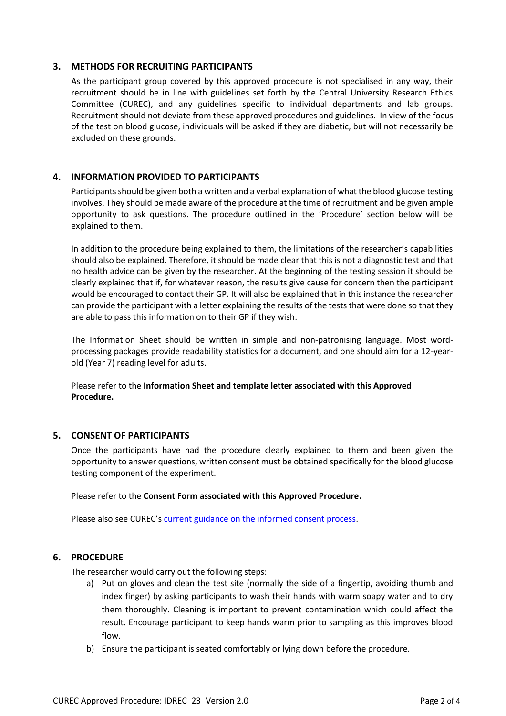#### **3. METHODS FOR RECRUITING PARTICIPANTS**

As the participant group covered by this approved procedure is not specialised in any way, their recruitment should be in line with guidelines set forth by the Central University Research Ethics Committee (CUREC), and any guidelines specific to individual departments and lab groups. Recruitment should not deviate from these approved procedures and guidelines. In view of the focus of the test on blood glucose, individuals will be asked if they are diabetic, but will not necessarily be excluded on these grounds.

## **4. INFORMATION PROVIDED TO PARTICIPANTS**

Participants should be given both a written and a verbal explanation of what the blood glucose testing involves. They should be made aware of the procedure at the time of recruitment and be given ample opportunity to ask questions. The procedure outlined in the 'Procedure' section below will be explained to them.

In addition to the procedure being explained to them, the limitations of the researcher's capabilities should also be explained. Therefore, it should be made clear that this is not a diagnostic test and that no health advice can be given by the researcher. At the beginning of the testing session it should be clearly explained that if, for whatever reason, the results give cause for concern then the participant would be encouraged to contact their GP. It will also be explained that in this instance the researcher can provide the participant with a letter explaining the results of the tests that were done so that they are able to pass this information on to their GP if they wish.

The Information Sheet should be written in simple and non-patronising language. Most wordprocessing packages provide readability statistics for a document, and one should aim for a 12-yearold (Year 7) reading level for adults.

Please refer to the **Information Sheet and template letter associated with this Approved Procedure.**

#### **5. CONSENT OF PARTICIPANTS**

Once the participants have had the procedure clearly explained to them and been given the opportunity to answer questions, written consent must be obtained specifically for the blood glucose testing component of the experiment.

Please refer to the **Consent Form associated with this Approved Procedure.**

Please also see CUREC's [current guidance on the informed consent process.](http://researchsupport.admin.ox.ac.uk/governance/ethics/resources/consent)

#### **6. PROCEDURE**

The researcher would carry out the following steps:

- a) Put on gloves and clean the test site (normally the side of a fingertip, avoiding thumb and index finger) by asking participants to wash their hands with warm soapy water and to dry them thoroughly. Cleaning is important to prevent contamination which could affect the result. Encourage participant to keep hands warm prior to sampling as this improves blood flow.
- b) Ensure the participant is seated comfortably or lying down before the procedure.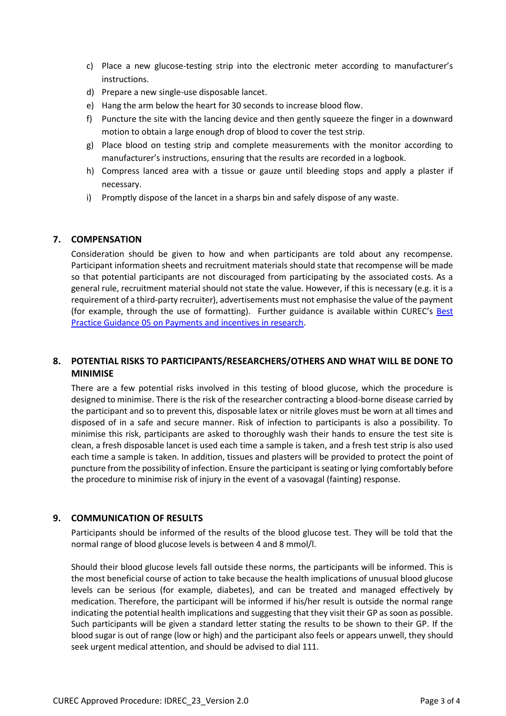- c) Place a new glucose-testing strip into the electronic meter according to manufacturer's instructions.
- d) Prepare a new single-use disposable lancet.
- e) Hang the arm below the heart for 30 seconds to increase blood flow.
- f) Puncture the site with the lancing device and then gently squeeze the finger in a downward motion to obtain a large enough drop of blood to cover the test strip.
- g) Place blood on testing strip and complete measurements with the monitor according to manufacturer's instructions, ensuring that the results are recorded in a logbook.
- h) Compress lanced area with a tissue or gauze until bleeding stops and apply a plaster if necessary.
- i) Promptly dispose of the lancet in a sharps bin and safely dispose of any waste.

## **7. COMPENSATION**

Consideration should be given to how and when participants are told about any recompense. Participant information sheets and recruitment materials should state that recompense will be made so that potential participants are not discouraged from participating by the associated costs. As a general rule, recruitment material should not state the value. However, if this is necessary (e.g. it is a requirement of a third-party recruiter), advertisements must not emphasise the value of the payment (for example, through the use of formatting). Further guidance is available within CUREC's [Best](https://researchsupport.admin.ox.ac.uk/governance/ethics/resources/bpg)  [Practice Guidance 05 on Payments and incentives in research.](https://researchsupport.admin.ox.ac.uk/governance/ethics/resources/bpg)

## **8. POTENTIAL RISKS TO PARTICIPANTS/RESEARCHERS/OTHERS AND WHAT WILL BE DONE TO MINIMISE**

There are a few potential risks involved in this testing of blood glucose, which the procedure is designed to minimise. There is the risk of the researcher contracting a blood-borne disease carried by the participant and so to prevent this, disposable latex or nitrile gloves must be worn at all times and disposed of in a safe and secure manner. Risk of infection to participants is also a possibility. To minimise this risk, participants are asked to thoroughly wash their hands to ensure the test site is clean, a fresh disposable lancet is used each time a sample is taken, and a fresh test strip is also used each time a sample is taken. In addition, tissues and plasters will be provided to protect the point of puncture from the possibility of infection. Ensure the participant is seating or lying comfortably before the procedure to minimise risk of injury in the event of a vasovagal (fainting) response.

#### **9. COMMUNICATION OF RESULTS**

Participants should be informed of the results of the blood glucose test. They will be told that the normal range of blood glucose levels is between 4 and 8 mmol/l.

Should their blood glucose levels fall outside these norms, the participants will be informed. This is the most beneficial course of action to take because the health implications of unusual blood glucose levels can be serious (for example, diabetes), and can be treated and managed effectively by medication. Therefore, the participant will be informed if his/her result is outside the normal range indicating the potential health implications and suggesting that they visit their GP as soon as possible. Such participants will be given a standard letter stating the results to be shown to their GP. If the blood sugar is out of range (low or high) and the participant also feels or appears unwell, they should seek urgent medical attention, and should be advised to dial 111.